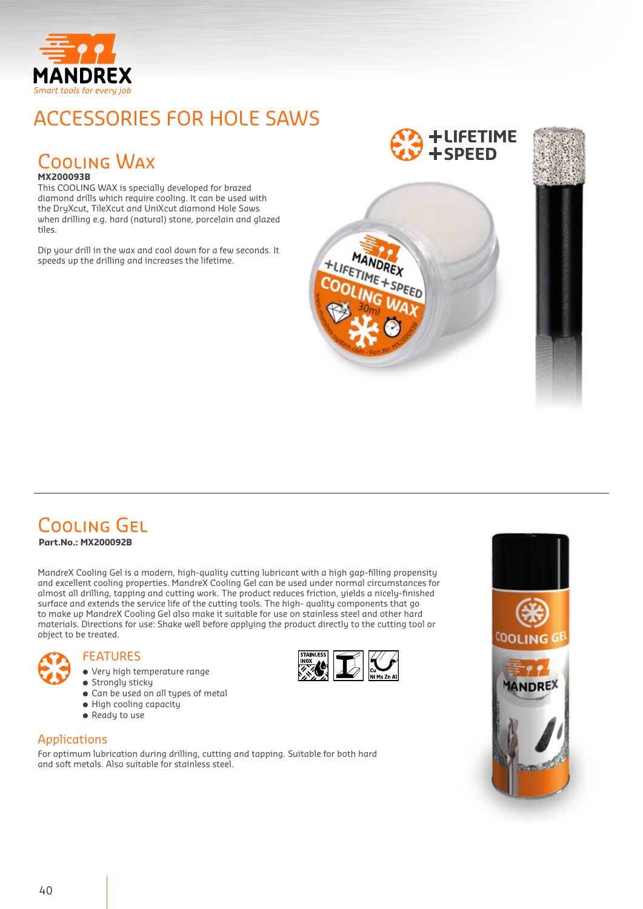

## ACCESSORIES FOR HOLE SAWS

#### Cooling Wax **MX200093B**

This COOLING WAX is specially developed for brazed diamond drills which require cooling. It can be used with the DryXcut, TileXcut and UniXcut diamond Hole Saws when drilling e.g. hard (natural) stone, porcelain and glazed tiles.

Dip your drill in the wax and cool down for a few seconds. It speeds up the drilling and increases the lifetime.

### **LIFETIME SPEED**



# Cooling Gel

**Part.No.: MX200092B**

MandreX Cooling Gel is a modern, high-quality cutting lubricant with a high gap-filling propensity and excellent cooling properties. MandreX Cooling Gel can be used under normal circumstances for almost all drilling, tapping and cutting work. The product reduces friction, yields a nicely-finished surface and extends the service life of the cutting tools. The high- quality components that go to make up MandreX Cooling Gel also make it suitable for use on stainless steel and other hard materiaIs. Directions for use: Shake well before applying the product directly to the cutting tool or object to be treated.

- FEATURES
	- Very high temperature range ● Strongly sticky
	- Can be used on all types of metal
	- High cooling capacity
	- Ready to use

#### Applications

For optimum lubrication during drilling, cutting and tapping. Suitable for both hard and soft metals. Also suitable for stainless steel.



HUFETIME + SPEED

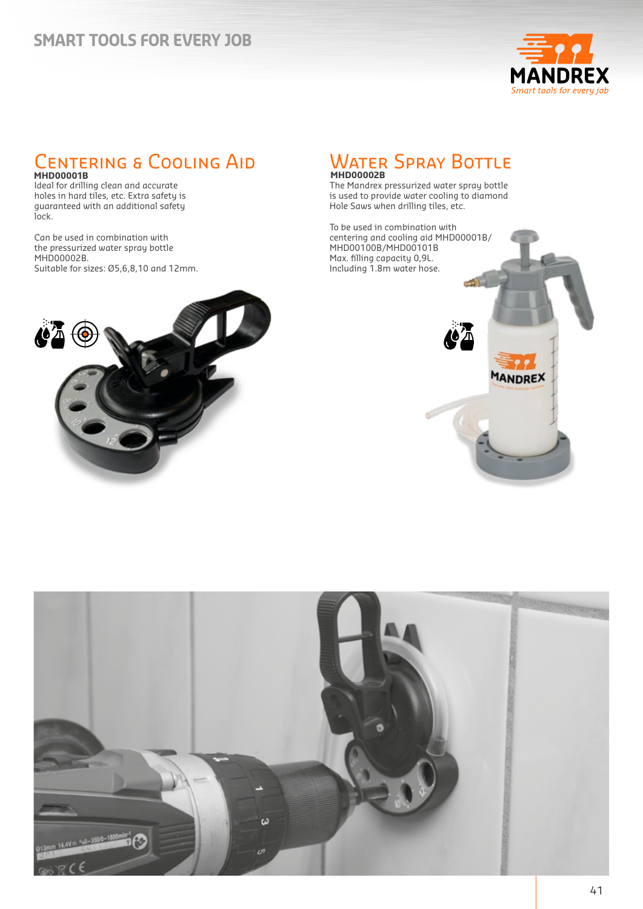### **SMART TOOLS FOR EVERY JOB**



# Centering & Cooling Aid **MHD00001B**

Ideal for drilling clean and accurate holes in hard tiles, etc. Extra safety is guaranteed with an additional safety lock.

Can be used in combination with the pressurized water spray bottle MHD00002B. Suitable for sizes: Ø5,6,8,10 and 12mm.



# Water Spray Bottle **MHD00002B**

The Mandrex pressurized water spray bottle is used to provide water cooling to diamond Hole Saws when drilling tiles, etc.

To be used in combination with centering and cooling aid MHD00001B/ MHD00100B/MHD00101B Max. filling capacity 0,9L. Including 1.8m water hose.



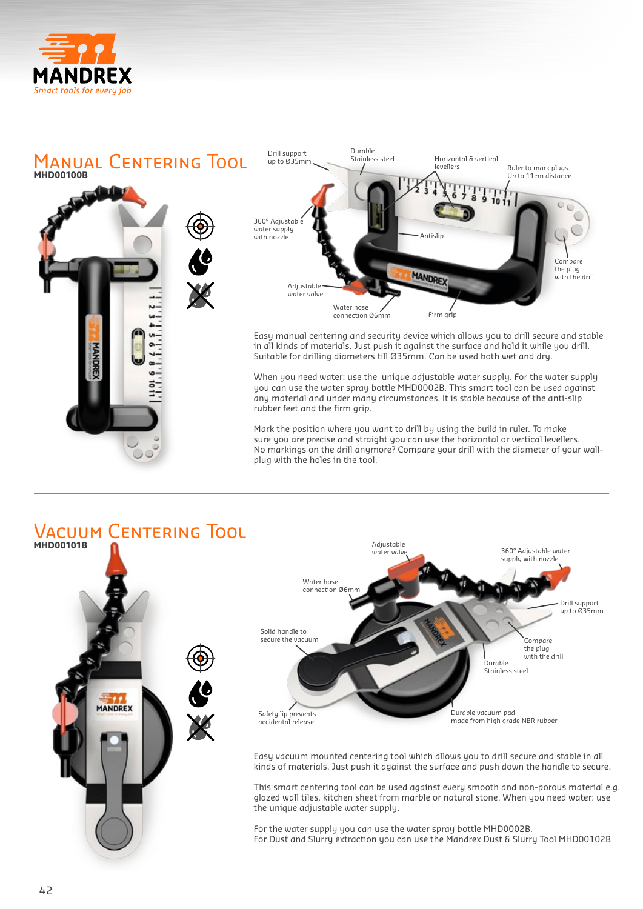



Vacuum Centering Tool **MHD00101B** Adjustable water value 360° Adjustable water supply with nozzle Water hose connection Ø6m Drill support up to Ø35mm Solid handle to secure the vacuum Compare the plug<br>with the drill **Durable** Stainless steel **MANDREX** Safety lip prevents Durable vacuum pad made from high grade NBR rubber accidental release Easy vacuum mounted centering tool which allows you to drill secure and stable in all kinds of materials. Just push it against the surface and push down the handle to secure. This smart centering tool can be used against every smooth and non-porous material e.g. glazed wall tiles, kitchen sheet from marble or natural stone. When you need water: use

the unique adjustable water supply.

For the water supply you can use the water spray bottle MHD0002B. For Dust and Slurry extraction you can use the Mandrex Dust & Slurry Tool MHD00102B